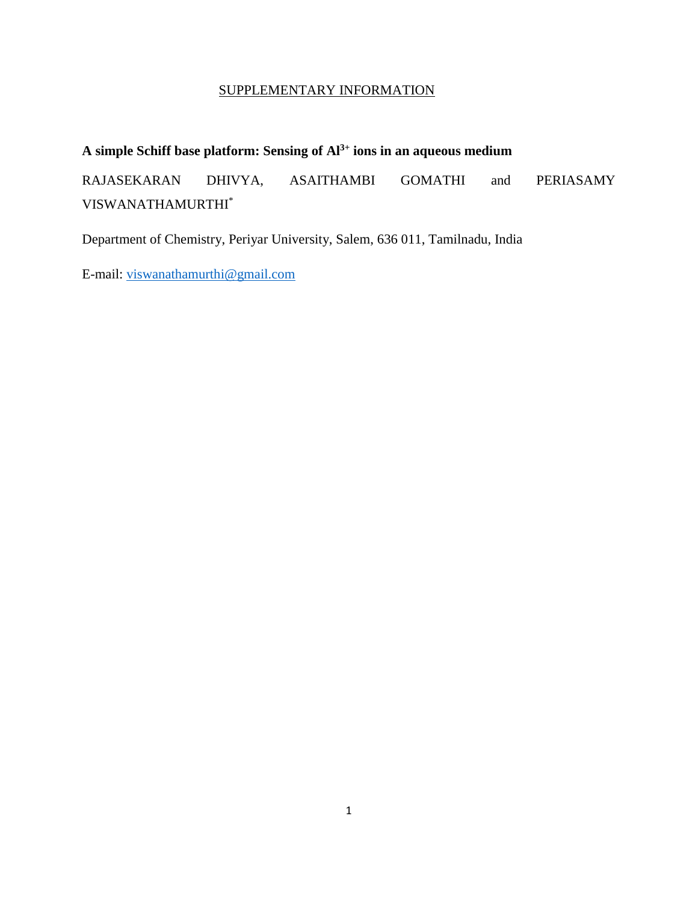## SUPPLEMENTARY INFORMATION

# **A simple Schiff base platform: Sensing of Al3+ ions in an aqueous medium**

RAJASEKARAN DHIVYA, ASAITHAMBI GOMATHI and PERIASAMY VISWANATHAMURTHI\*

Department of Chemistry, Periyar University, Salem, 636 011, Tamilnadu, India

E-mail: [viswanathamurthi@gmail.com](mailto:viswanathamurthi@gmail.com)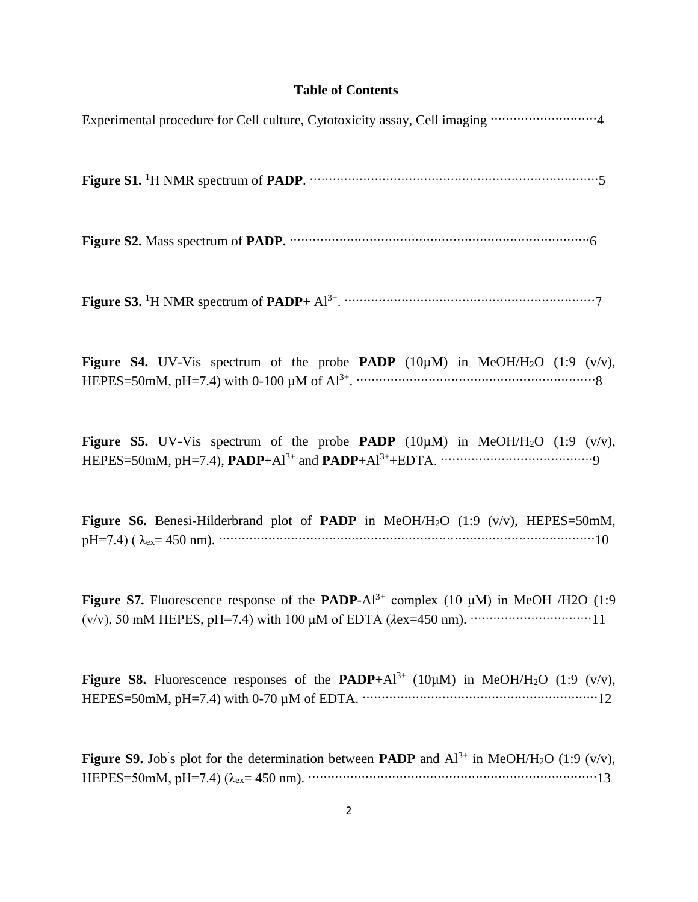# **Table of Contents**

| <b>Figure S4.</b> UV-Vis spectrum of the probe <b>PADP</b> (10 $\mu$ M) in MeOH/H <sub>2</sub> O (1:9 (v/v),                                                                                                                                                                                                                                    |
|-------------------------------------------------------------------------------------------------------------------------------------------------------------------------------------------------------------------------------------------------------------------------------------------------------------------------------------------------|
| <b>Figure S5.</b> UV-Vis spectrum of the probe <b>PADP</b> (10 $\mu$ M) in MeOH/H <sub>2</sub> O (1:9 (v/v),                                                                                                                                                                                                                                    |
| Figure S6. Benesi-Hilderbrand plot of PADP in MeOH/H <sub>2</sub> O $(1:9 \ (v/v))$ , HEPES=50mM,<br>$pH=7.4$ ) ( $\lambda_{ex}=450$ nm). $\cdots$ $\cdots$ $\cdots$ $\cdots$ $\cdots$ $\cdots$ $\cdots$ $\cdots$ $\cdots$ $\cdots$ $\cdots$ $\cdots$ $\cdots$ $\cdots$ $\cdots$ $\cdots$ $\cdots$ $\cdots$ $\cdots$ $\cdots$ $\cdots$ $\cdots$ |
| Figure S7. Fluorescence response of the PADP- $Al^{3+}$ complex (10 µM) in MeOH /H2O (1:9                                                                                                                                                                                                                                                       |
| <b>Figure S8.</b> Fluorescence responses of the <b>PADP</b> +Al <sup>3+</sup> (10 $\mu$ M) in MeOH/H <sub>2</sub> O (1:9 (v/v),                                                                                                                                                                                                                 |

**Figure S9.** Job<sup>'</sup>s plot for the determination between **PADP** and  $Al^{3+}$  in MeOH/H<sub>2</sub>O (1:9 (v/v), HEPES=50mM, pH=7.4) (λex= 450 nm). ············································································13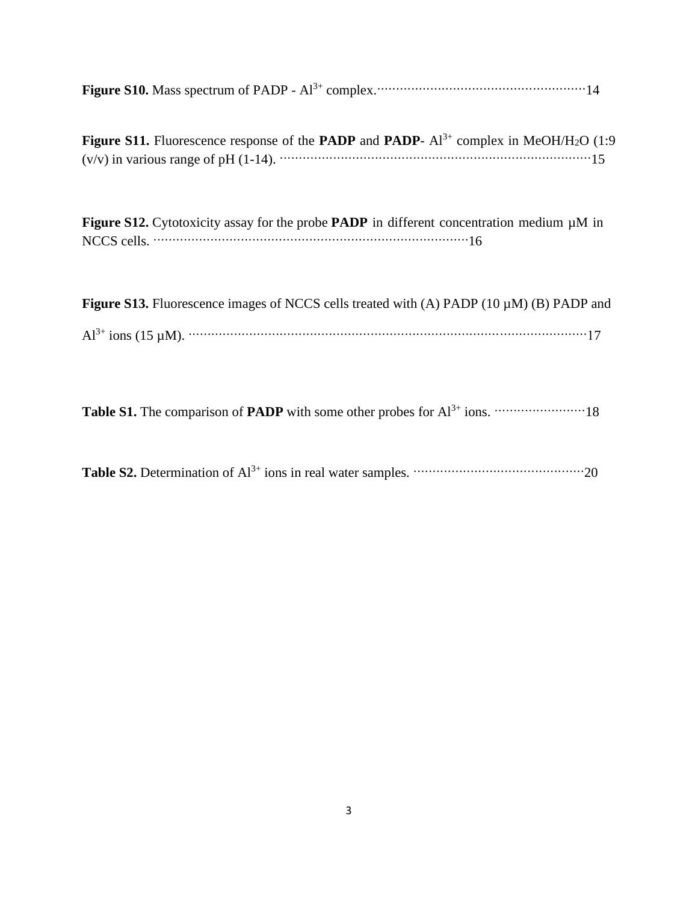| <b>Figure S10.</b> Mass spectrum of PADP - $Al^{3+}$ complex. $\cdots$ $\cdots$ $\cdots$ $\cdots$ $\cdots$ $\cdots$ $\cdots$ $\cdots$ $\cdots$ $\cdots$ $\cdots$ $\cdots$ $\cdots$ $\cdots$ $\cdots$ $\cdots$ $\cdots$ |  |  |  |  |
|------------------------------------------------------------------------------------------------------------------------------------------------------------------------------------------------------------------------|--|--|--|--|
|------------------------------------------------------------------------------------------------------------------------------------------------------------------------------------------------------------------------|--|--|--|--|

|  | <b>Figure S11.</b> Fluorescence response of the <b>PADP</b> and <b>PADP</b> - $Al^{3+}$ complex in MeOH/H <sub>2</sub> O (1:9)                                                                                                                        |  |  |  |
|--|-------------------------------------------------------------------------------------------------------------------------------------------------------------------------------------------------------------------------------------------------------|--|--|--|
|  | $(v/v)$ in various range of pH (1-14). $\cdots$ $\cdots$ $\cdots$ $\cdots$ $\cdots$ $\cdots$ $\cdots$ $\cdots$ $\cdots$ $\cdots$ $\cdots$ $\cdots$ $\cdots$ $\cdots$ $\cdots$ $\cdots$ $\cdots$ $\cdots$ $\cdots$ $\cdots$ $\cdots$ $\cdots$ $\cdots$ |  |  |  |

| Figure S12. Cytotoxicity assay for the probe PADP in different concentration medium µM in |  |
|-------------------------------------------------------------------------------------------|--|
|                                                                                           |  |

|  |  | <b>Figure S13.</b> Fluorescence images of NCCS cells treated with (A) PADP $(10 \mu M)$ (B) PADP and                                                                                                                                                                                                                             |  |
|--|--|----------------------------------------------------------------------------------------------------------------------------------------------------------------------------------------------------------------------------------------------------------------------------------------------------------------------------------|--|
|  |  | $Al^{3+}$ ions (15 µM). $\cdots$ $\cdots$ $\cdots$ $\cdots$ $\cdots$ $\cdots$ $\cdots$ $\cdots$ $\cdots$ $\cdots$ $\cdots$ $\cdots$ $\cdots$ $\cdots$ $\cdots$ $\cdots$ $\cdots$ $\cdots$ $\cdots$ $\cdots$ $\cdots$ $\cdots$ $\cdots$ $\cdots$ $\cdots$ $\cdots$ $\cdots$ $\cdots$ $\cdots$ $\cdots$ $\cdots$ $\cdots$ $\cdots$ |  |

**Table S1.** The comparison of **PADP** with some other probes for Al<sup>3+</sup> ions.  $\cdots$  $\cdots$  $\cdots$  $\cdots$  $\cdots$ 18

|  |  | <b>Table S2.</b> Determination of $Al^{3+}$ ions in real water samples. $\cdots$ $\cdots$ $\cdots$ $\cdots$ $\cdots$ $\cdots$ $\cdots$ $\cdots$ $\cdots$ $\cdots$ $\cdots$ $\cdots$ $\cdots$ $\cdots$ $\cdots$ $\cdots$ $\cdots$ $\cdots$ $\cdots$ $\cdots$ $\cdots$ $\cdots$ $\cdots$ $\cdots$ $\cdots$ $\cdots$ |
|--|--|-------------------------------------------------------------------------------------------------------------------------------------------------------------------------------------------------------------------------------------------------------------------------------------------------------------------|
|--|--|-------------------------------------------------------------------------------------------------------------------------------------------------------------------------------------------------------------------------------------------------------------------------------------------------------------------|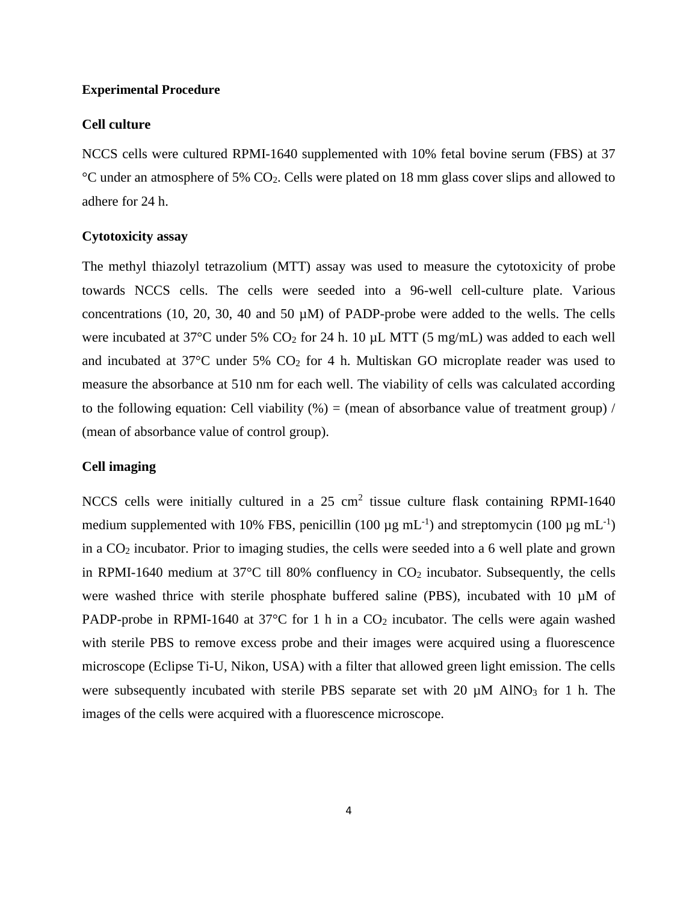#### **Experimental Procedure**

#### **Cell culture**

NCCS cells were cultured RPMI-1640 supplemented with 10% fetal bovine serum (FBS) at 37 °C under an atmosphere of 5% CO2. Cells were plated on 18 mm glass cover slips and allowed to adhere for 24 h.

#### **Cytotoxicity assay**

The methyl thiazolyl tetrazolium (MTT) assay was used to measure the cytotoxicity of probe towards NCCS cells. The cells were seeded into a 96-well cell-culture plate. Various concentrations (10, 20, 30, 40 and 50  $\mu$ M) of PADP-probe were added to the wells. The cells were incubated at 37 $^{\circ}$ C under 5% CO<sub>2</sub> for 24 h. 10 µL MTT (5 mg/mL) was added to each well and incubated at  $37^{\circ}$ C under 5% CO<sub>2</sub> for 4 h. Multiskan GO microplate reader was used to measure the absorbance at 510 nm for each well. The viability of cells was calculated according to the following equation: Cell viability  $(\%)$  = (mean of absorbance value of treatment group) / (mean of absorbance value of control group).

### **Cell imaging**

NCCS cells were initially cultured in a 25 cm<sup>2</sup> tissue culture flask containing RPMI-1640 medium supplemented with 10% FBS, penicillin (100  $\mu$ g mL<sup>-1</sup>) and streptomycin (100  $\mu$ g mL<sup>-1</sup>) in a  $CO<sub>2</sub>$  incubator. Prior to imaging studies, the cells were seeded into a 6 well plate and grown in RPMI-1640 medium at  $37^{\circ}$ C till 80% confluency in  $CO_2$  incubator. Subsequently, the cells were washed thrice with sterile phosphate buffered saline (PBS), incubated with 10  $\mu$ M of PADP-probe in RPMI-1640 at 37 $\degree$ C for 1 h in a CO<sub>2</sub> incubator. The cells were again washed with sterile PBS to remove excess probe and their images were acquired using a fluorescence microscope (Eclipse Ti-U, Nikon, USA) with a filter that allowed green light emission. The cells were subsequently incubated with sterile PBS separate set with 20  $\mu$ M AlNO<sub>3</sub> for 1 h. The images of the cells were acquired with a fluorescence microscope.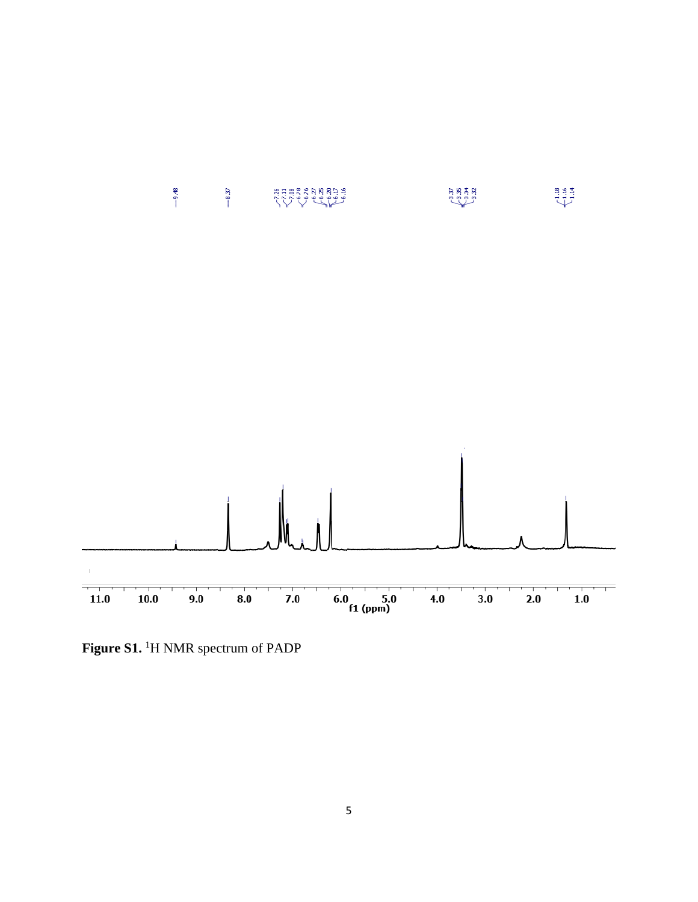

**Figure S1.** <sup>1</sup>H NMR spectrum of PADP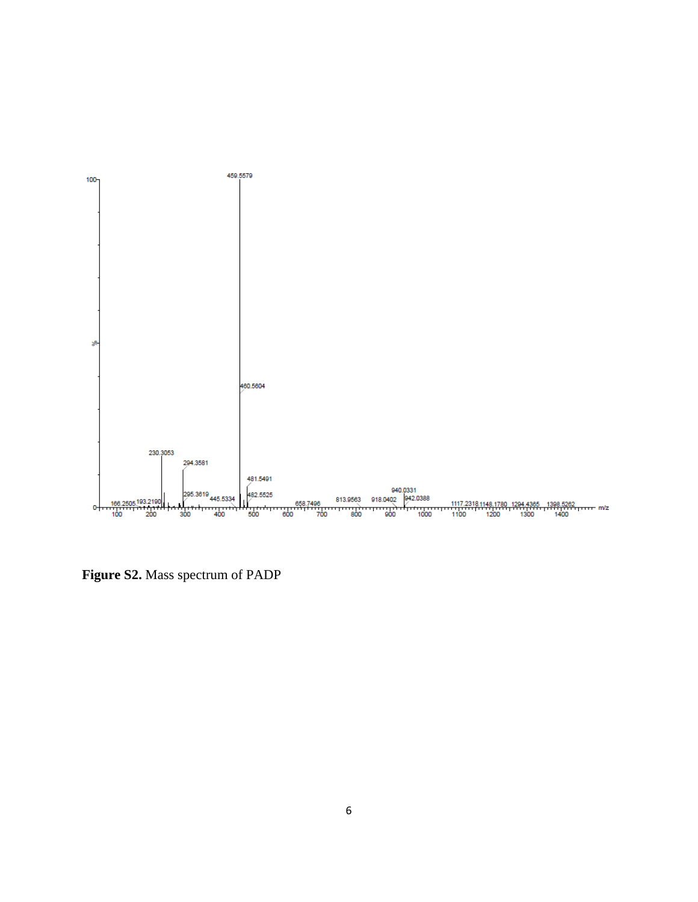

**Figure S2.** Mass spectrum of PADP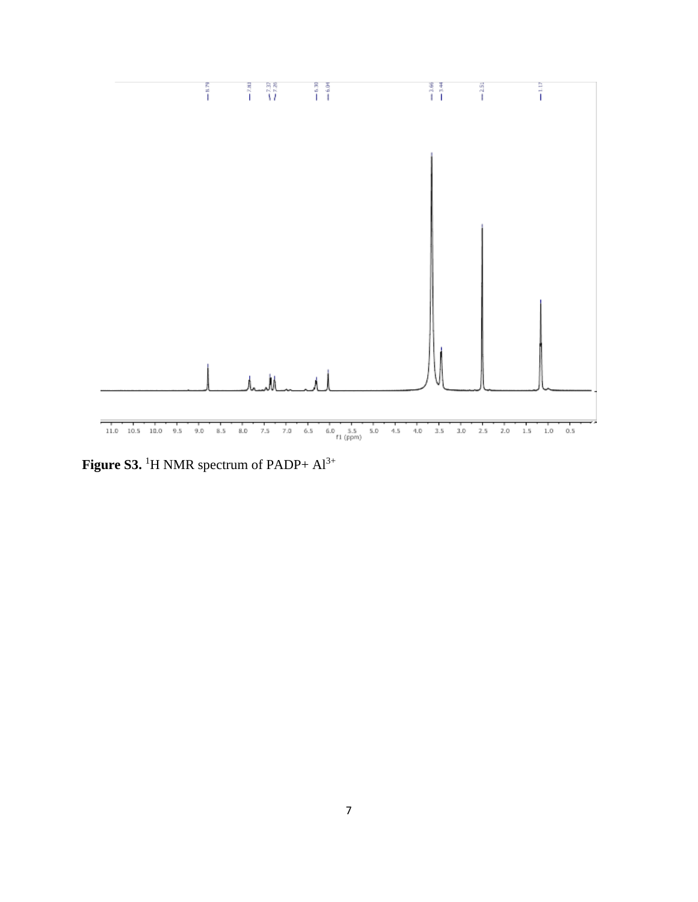

Figure S3. <sup>1</sup>H NMR spectrum of PADP+  $Al^{3+}$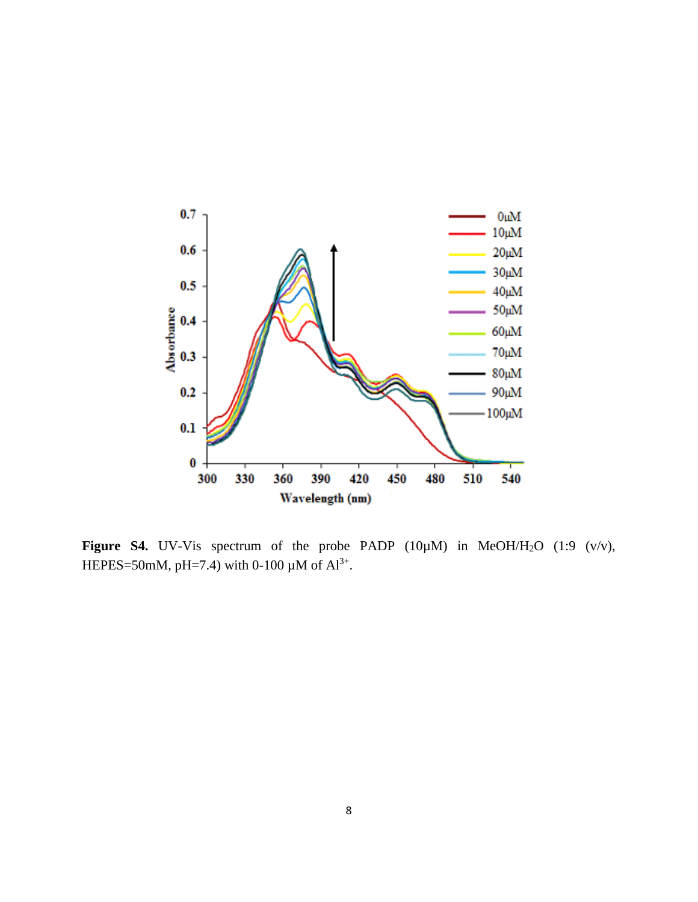

Figure S4. UV-Vis spectrum of the probe PADP (10µM) in MeOH/H<sub>2</sub>O (1:9 (v/v), HEPES=50mM, pH=7.4) with 0-100  $\mu$ M of Al<sup>3+</sup>.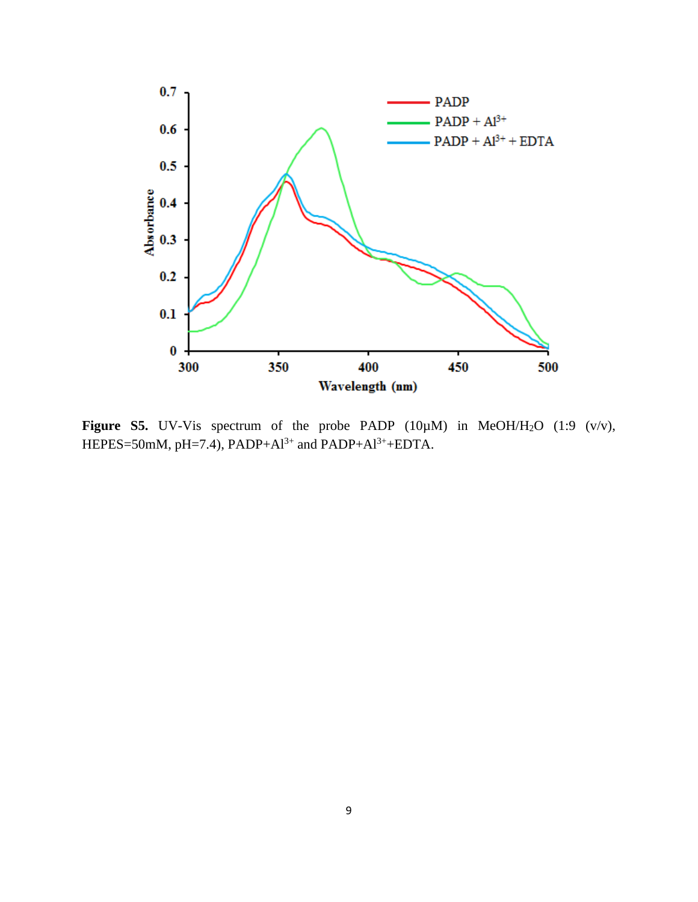

**Figure S5.** UV-Vis spectrum of the probe PADP (10µM) in MeOH/H<sub>2</sub>O (1:9 (v/v), HEPES=50mM, pH=7.4), PADP+Al<sup>3+</sup> and PADP+Al<sup>3+</sup>+EDTA.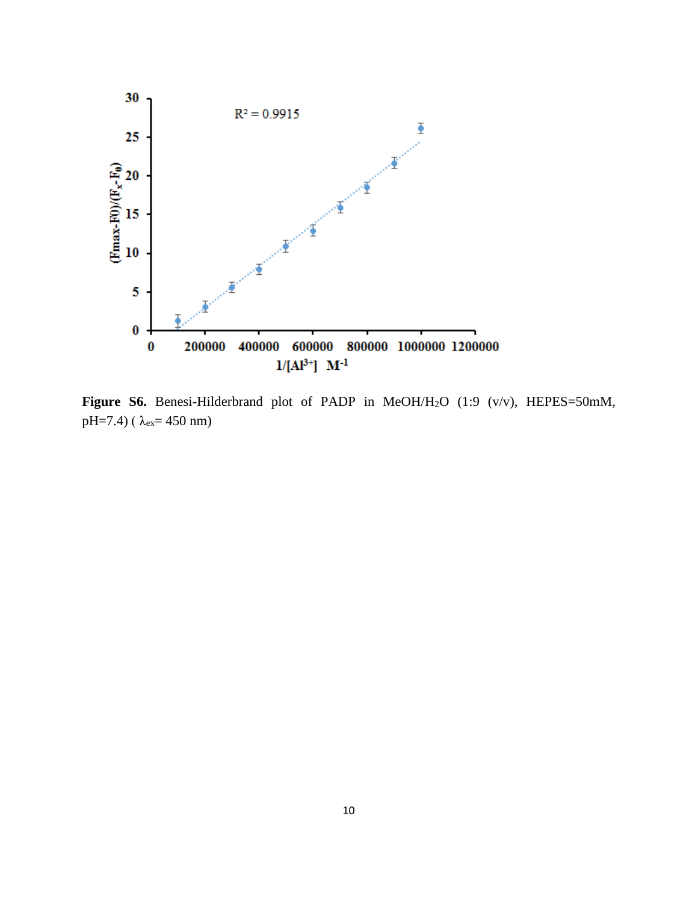

Figure S6. Benesi-Hilderbrand plot of PADP in MeOH/H<sub>2</sub>O (1:9 (v/v), HEPES=50mM, pH=7.4) ( $\lambda_{ex}$ = 450 nm)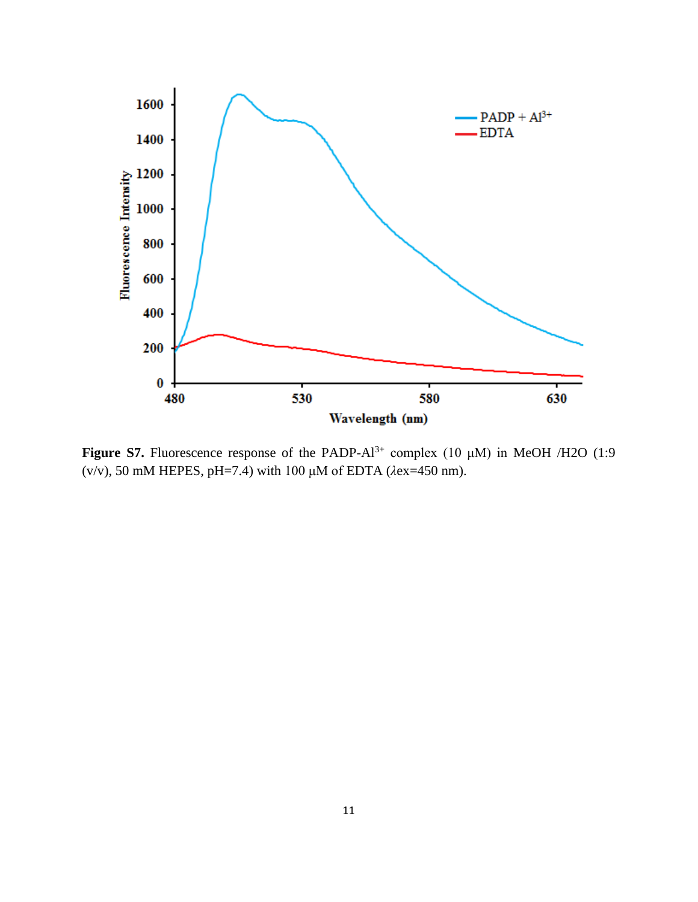

**Figure S7.** Fluorescence response of the PADP- $Al^{3+}$  complex (10  $\mu$ M) in MeOH /H2O (1:9 (v/v), 50 mM HEPES, pH=7.4) with 100 μM of EDTA (*λ*ex=450 nm).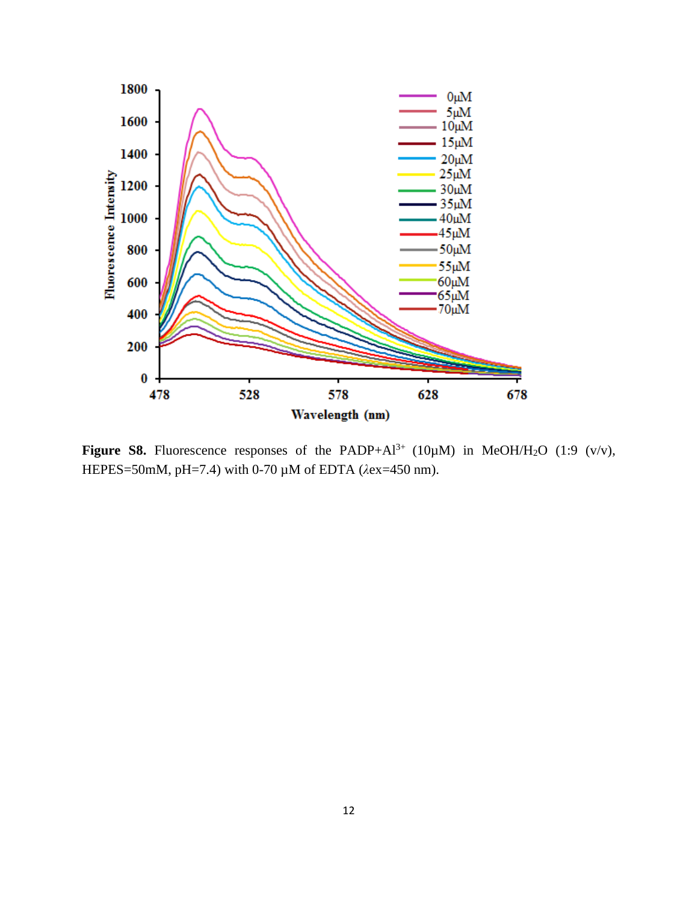

**Figure S8.** Fluorescence responses of the PADP+Al<sup>3+</sup> (10 $\mu$ M) in MeOH/H<sub>2</sub>O (1:9 (v/v), HEPES=50mM, pH=7.4) with 0-70 µM of EDTA (*λ*ex=450 nm).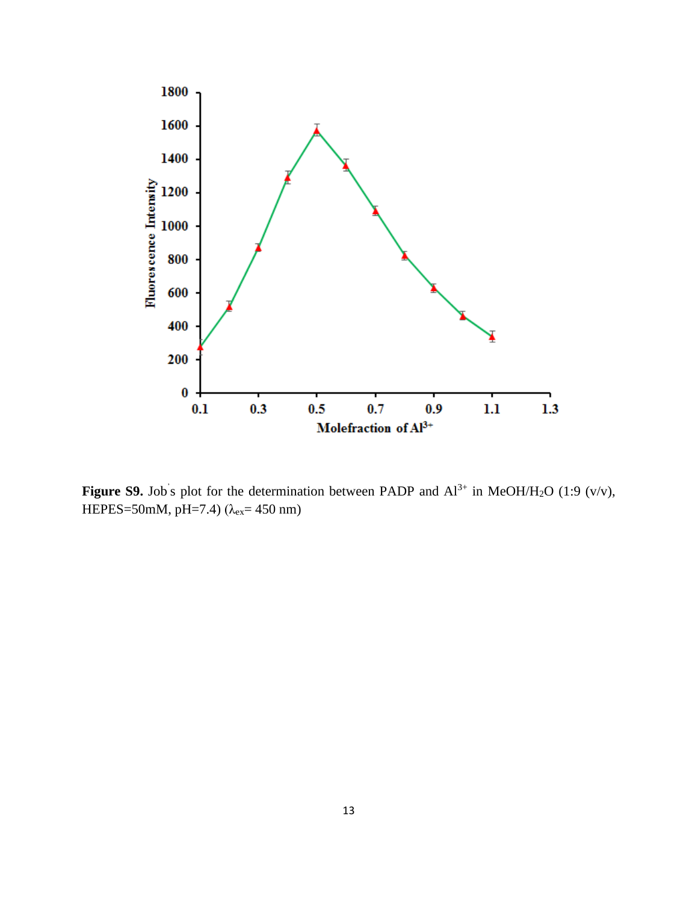

**Figure S9.** Job's plot for the determination between PADP and  $Al^{3+}$  in MeOH/H<sub>2</sub>O (1:9 (v/v), HEPES=50mM, pH=7.4) (λ<sub>ex</sub>= 450 nm)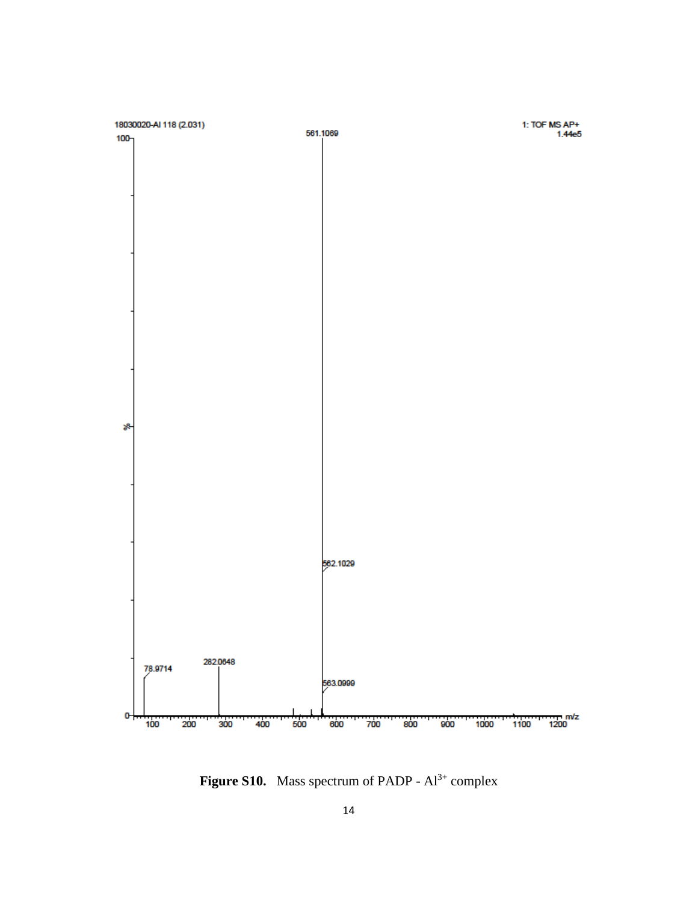

**Figure S10.** Mass spectrum of PADP -  $Al^{3+}$  complex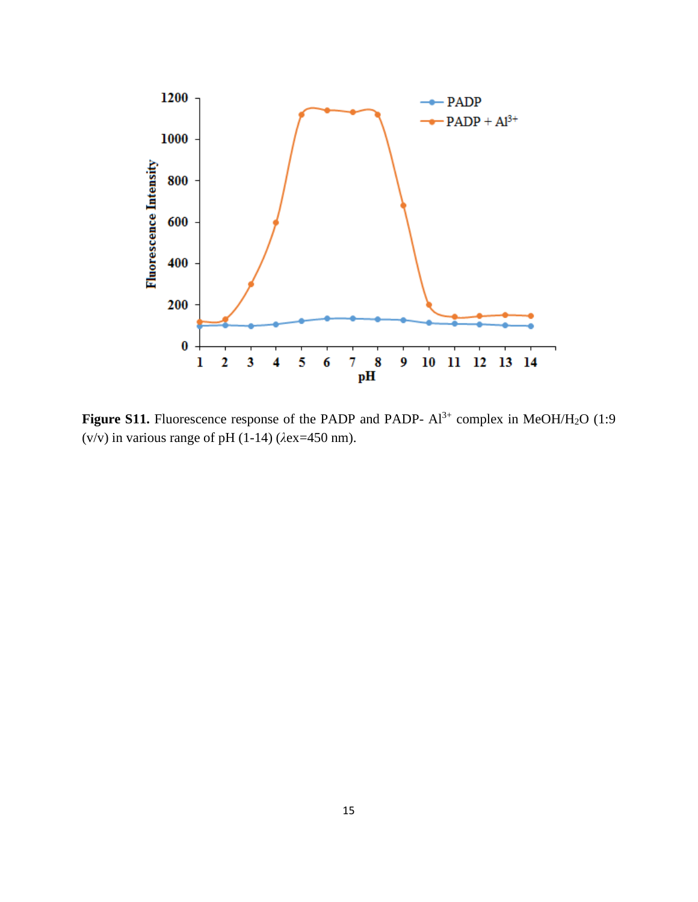

**Figure S11.** Fluorescence response of the PADP and PADP-  $Al^{3+}$  complex in MeOH/H<sub>2</sub>O (1:9) (v/v) in various range of pH (1-14) (*λ*ex=450 nm).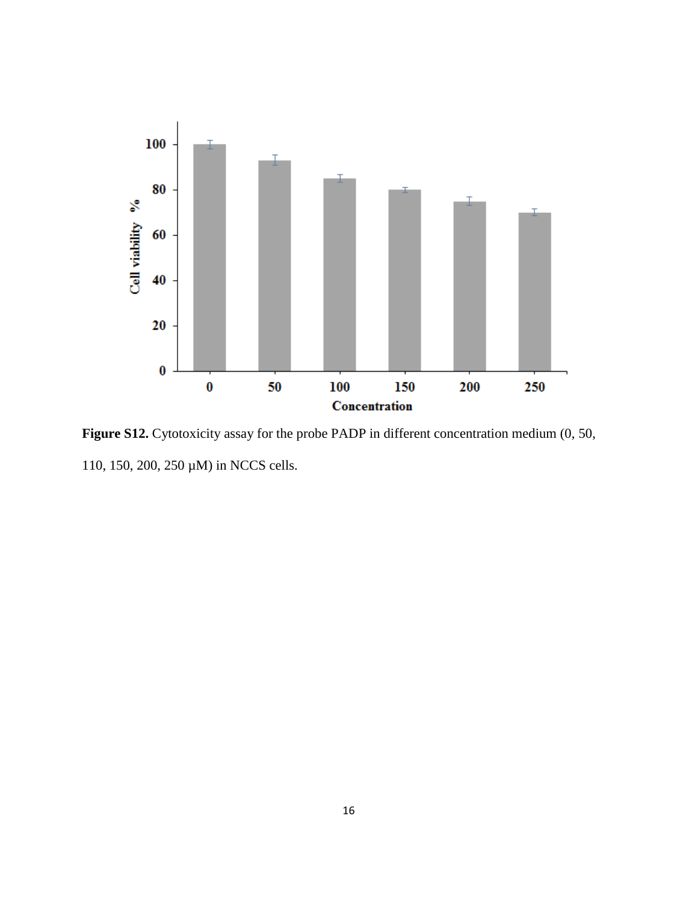

**Figure S12.** Cytotoxicity assay for the probe PADP in different concentration medium (0, 50, 110, 150, 200, 250 µM) in NCCS cells.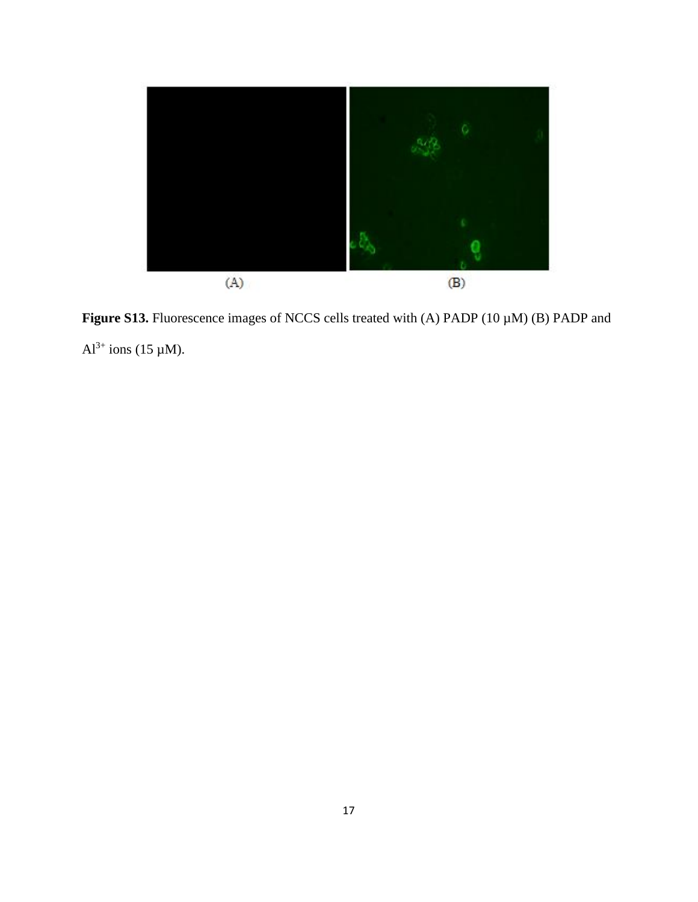

Figure S13. Fluorescence images of NCCS cells treated with (A) PADP (10  $\mu$ M) (B) PADP and  $Al^{3+}$  ions (15 µM).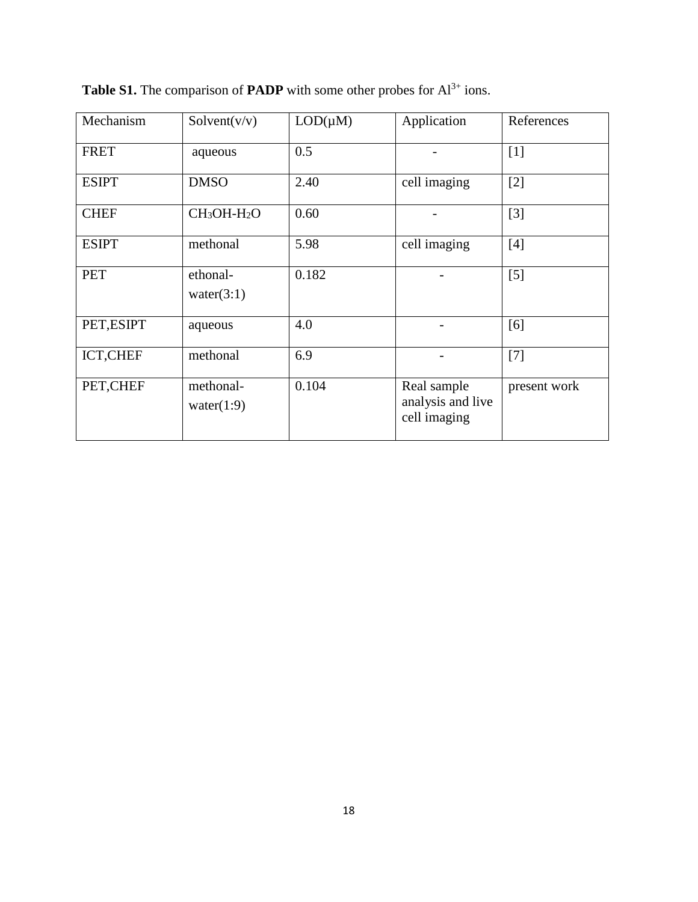| Mechanism    | Solvent(v/v)               | $LOD(\mu M)$ | Application                                      | References   |
|--------------|----------------------------|--------------|--------------------------------------------------|--------------|
| <b>FRET</b>  | aqueous                    | 0.5          |                                                  | $[1]$        |
| <b>ESIPT</b> | <b>DMSO</b>                | 2.40         | cell imaging                                     | $[2]$        |
| <b>CHEF</b>  | $CH3OH-H2O$                | 0.60         |                                                  | $[3]$        |
| <b>ESIPT</b> | methonal                   | 5.98         | cell imaging                                     | [4]          |
| <b>PET</b>   | ethonal-<br>water $(3:1)$  | 0.182        |                                                  | $[5]$        |
| PET, ESIPT   | aqueous                    | 4.0          |                                                  | [6]          |
| ICT, CHEF    | methonal                   | 6.9          |                                                  | $[7]$        |
| PET, CHEF    | methonal-<br>water $(1:9)$ | 0.104        | Real sample<br>analysis and live<br>cell imaging | present work |

**Table S1.** The comparison of **PADP** with some other probes for Al<sup>3+</sup> ions.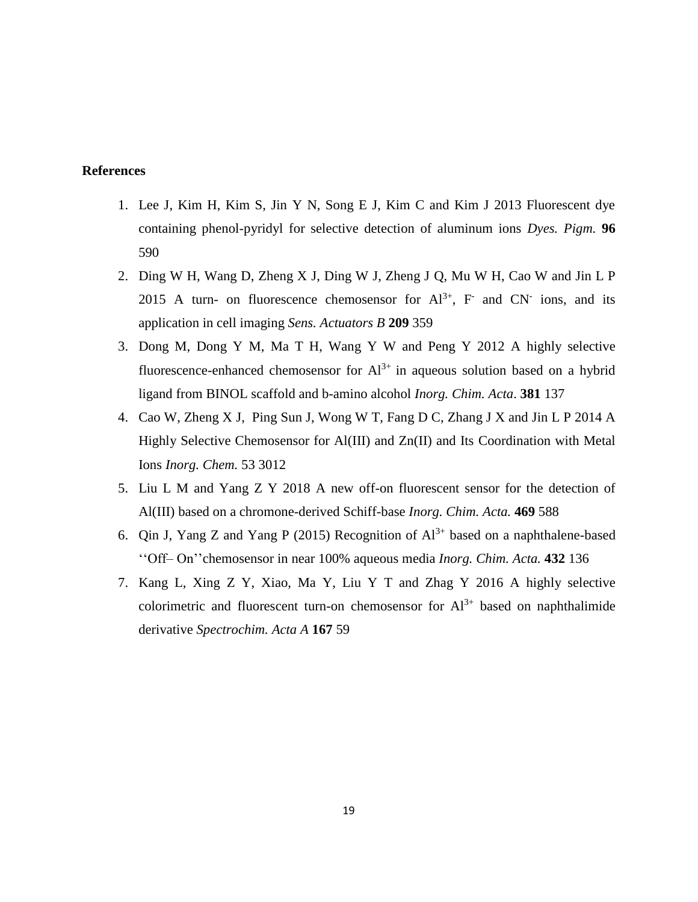### **References**

- 1. Lee J, Kim H, Kim S, Jin Y N, Song E J, Kim C and Kim J 2013 Fluorescent dye containing phenol-pyridyl for selective detection of aluminum ions *Dyes. Pigm.* **96** 590
- 2. Ding W H, Wang D, Zheng X J, Ding W J, Zheng J Q, Mu W H, Cao W and Jin L P 2015 A turn- on fluorescence chemosensor for  $Al^{3+}$ , F and CN ions, and its application in cell imaging *Sens. Actuators B* **209** 359
- 3. Dong M, Dong Y M, Ma T H, Wang Y W and Peng Y 2012 A highly selective fluorescence-enhanced chemosensor for  $Al^{3+}$  in aqueous solution based on a hybrid ligand from BINOL scaffold and b-amino alcohol *Inorg. Chim. Acta*. **381** 137
- 4. Cao W, Zheng X J, Ping Sun J, Wong W T, Fang D C, Zhang J X and Jin L P 2014 A Highly Selective Chemosensor for Al(III) and Zn(II) and Its Coordination with Metal Ions *Inorg. Chem.* 53 3012
- 5. Liu L M and Yang Z Y 2018 A new off-on fluorescent sensor for the detection of Al(III) based on a chromone-derived Schiff-base *Inorg. Chim. Acta.* **469** 588
- 6. Qin J, Yang Z and Yang P (2015) Recognition of  $Al^{3+}$  based on a naphthalene-based ''Off– On''chemosensor in near 100% aqueous media *Inorg. Chim. Acta.* **432** 136
- 7. Kang L, Xing Z Y, Xiao, Ma Y, Liu Y T and Zhag Y 2016 A highly selective colorimetric and fluorescent turn-on chemosensor for  $Al^{3+}$  based on naphthalimide derivative *Spectrochim. Acta A* **167** 59